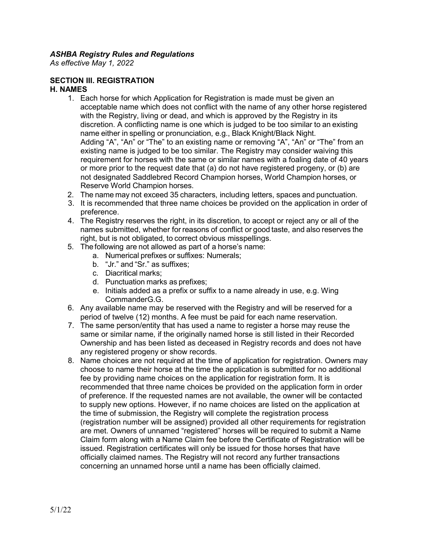## *ASHBA Registry Rules and Regulations*

*As effective May 1, 2022*

## **SECTION III. REGISTRATION**

### **H. NAMES**

- 1. Each horse for which Application for Registration is made must be given an acceptable name which does not conflict with the name of any other horse registered with the Registry, living or dead, and which is approved by the Registry in its discretion. A conflicting name is one which is judged to be too similar to an existing name either in spelling or pronunciation, e.g., Black Knight/Black Night. Adding "A", "An" or "The" to an existing name or removing "A", "An" or "The" from an existing name is judged to be too similar. The Registry may consider waiving this requirement for horses with the same or similar names with a foaling date of 40 years or more prior to the request date that (a) do not have registered progeny, or (b) are not designated Saddlebred Record Champion horses, World Champion horses, or Reserve World Champion horses.
- 2. The name may not exceed 35 characters, including letters, spaces and punctuation.
- 3. It is recommended that three name choices be provided on the application in order of preference.
- 4. The Registry reserves the right, in its discretion, to accept or reject any or all of the names submitted, whether for reasons of conflict or good taste, and also reserves the right, but is not obligated, to correct obvious misspellings.
- 5. The following are not allowed as part of a horse's name:
	- a. Numerical prefixes or suffixes: Numerals;
	- b. "Jr." and "Sr." as suffixes;
	- c. Diacritical marks;
	- d. Punctuation marks as prefixes;
	- e. Initials added as a prefix or suffix to a name already in use, e.g. Wing CommanderG.G.
- 6. Any available name may be reserved with the Registry and will be reserved for a period of twelve (12) months. A fee must be paid for each name reservation.
- 7. The same person/entity that has used a name to register a horse may reuse the same or similar name, if the originally named horse is still listed in their Recorded Ownership and has been listed as deceased in Registry records and does not have any registered progeny or show records.
- 8. Name choices are not required at the time of application for registration. Owners may choose to name their horse at the time the application is submitted for no additional fee by providing name choices on the application for registration form. It is recommended that three name choices be provided on the application form in order of preference. If the requested names are not available, the owner will be contacted to supply new options. However, if no name choices are listed on the application at the time of submission, the Registry will complete the registration process (registration number will be assigned) provided all other requirements for registration are met. Owners of unnamed "registered" horses will be required to submit a Name Claim form along with a Name Claim fee before the Certificate of Registration will be issued. Registration certificates will only be issued for those horses that have officially claimed names. The Registry will not record any further transactions concerning an unnamed horse until a name has been officially claimed.